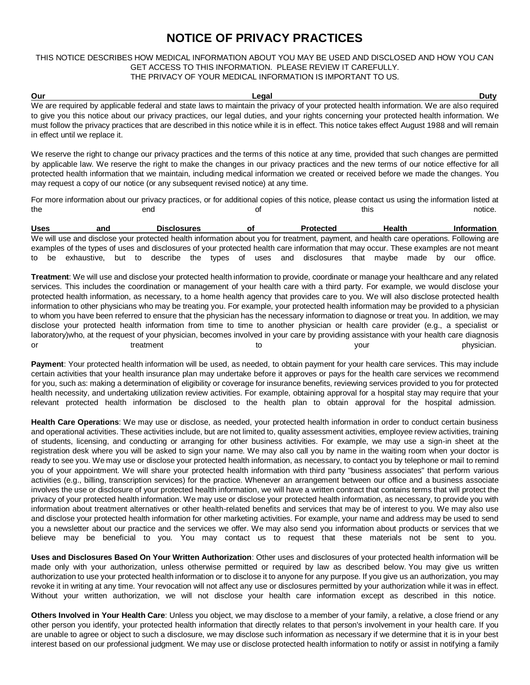# **NOTICE OF PRIVACY PRACTICES**

### THIS NOTICE DESCRIBES HOW MEDICAL INFORMATION ABOUT YOU MAY BE USED AND DISCLOSED AND HOW YOU CAN GET ACCESS TO THIS INFORMATION. PLEASE REVIEW IT CAREFULLY. THE PRIVACY OF YOUR MEDICAL INFORMATION IS IMPORTANT TO US.

## **Our Legal Duty** We are required by applicable federal and state laws to maintain the privacy of your protected health information. We are also required to give you this notice about our privacy practices, our legal duties, and your rights concerning your protected health information. We must follow the privacy practices that are described in this notice while it is in effect. This notice takes effect August 1988 and will remain in effect until we replace it. We reserve the right to change our privacy practices and the terms of this notice at any time, provided that such changes are permitted by applicable law. We reserve the right to make the changes in our privacy practices and the new terms of our notice effective for all protected health information that we maintain, including medical information we created or received before we made the changes. You

For more information about our privacy practices, or for additional copies of this notice, please contact us using the information listed at the the end end of this this notice.

may request a copy of our notice (or any subsequent revised notice) at any time.

| <b>Uses</b> | and                                                                                                                                    |  | <b>Disclosures</b> |  |  | <b>Protected</b> | <b>Health</b> |  | <b>Information</b> |
|-------------|----------------------------------------------------------------------------------------------------------------------------------------|--|--------------------|--|--|------------------|---------------|--|--------------------|
|             | We will use and disclose your protected health information about you for treatment, payment, and health care operations. Following are |  |                    |  |  |                  |               |  |                    |
|             | examples of the types of uses and disclosures of your protected health care information that may occur. These examples are not meant   |  |                    |  |  |                  |               |  |                    |
|             | to be exhaustive, but to describe the types of uses and disclosures that maybe made by our                                             |  |                    |  |  |                  |               |  | office.            |

**Treatment**: We will use and disclose your protected health information to provide, coordinate or manage your healthcare and any related services. This includes the coordination or management of your health care with a third party. For example, we would disclose your protected health information, as necessary, to a home health agency that provides care to you. We will also disclose protected health information to other physicians who may be treating you. For example, your protected health information may be provided to a physician to whom you have been referred to ensure that the physician has the necessary information to diagnose or treat you. In addition, we may disclose your protected health information from time to time to another physician or health care provider (e.g., a specialist or laboratory)who, at the request of your physician, becomes involved in your care by providing assistance with your health care diagnosis or the treatment to the state of the state of the state of the state of the state of the state of the state of the state of the state of the state of the state of the state of the state of the state of the state of the sta

**Payment**: Your protected health information will be used, as needed, to obtain payment for your health care services. This may include certain activities that your health insurance plan may undertake before it approves or pays for the health care services we recommend for you, such as: making a determination of eligibility or coverage for insurance benefits, reviewing services provided to you for protected health necessity, and undertaking utilization review activities. For example, obtaining approval for a hospital stay may require that your relevant protected health information be disclosed to the health plan to obtain approval for the hospital admission.

**Health Care Operations**: We may use or disclose, as needed, your protected health information in order to conduct certain business and operational activities. These activities include, but are not limited to, quality assessment activities, employee review activities, training of students, licensing, and conducting or arranging for other business activities. For example, we may use a sign-in sheet at the registration desk where you will be asked to sign your name. We may also call you by name in the waiting room when your doctor is ready to see you. We may use or disclose your protected health information, as necessary, to contact you by telephone or mail to remind you of your appointment. We will share your protected health information with third party "business associates" that perform various activities (e.g., billing, transcription services) for the practice. Whenever an arrangement between our office and a business associate involves the use or disclosure of your protected health information, we will have a written contract that contains terms that will protect the privacy of your protected health information. We may use or disclose your protected health information, as necessary, to provide you with information about treatment alternatives or other health-related benefits and services that may be of interest to you. We may also use and disclose your protected health information for other marketing activities. For example, your name and address may be used to send you a newsletter about our practice and the services we offer. We may also send you information about products or services that we believe may be beneficial to you. You may contact us to request that these materials not be sent to you.

**Uses and Disclosures Based On Your Written Authorization**: Other uses and disclosures of your protected health information will be made only with your authorization, unless otherwise permitted or required by law as described below. You may give us written authorization to use your protected health information or to disclose it to anyone for any purpose. If you give us an authorization, you may revoke it in writing at any time. Your revocation will not affect any use or disclosures permitted by your authorization while it was in effect. Without your written authorization, we will not disclose your health care information except as described in this notice.

**Others Involved in Your Health Care**: Unless you object, we may disclose to a member of your family, a relative, a close friend or any other person you identify, your protected health information that directly relates to that person's involvement in your health care. If you are unable to agree or object to such a disclosure, we may disclose such information as necessary if we determine that it is in your best interest based on our professional judgment. We may use or disclose protected health information to notify or assist in notifying a family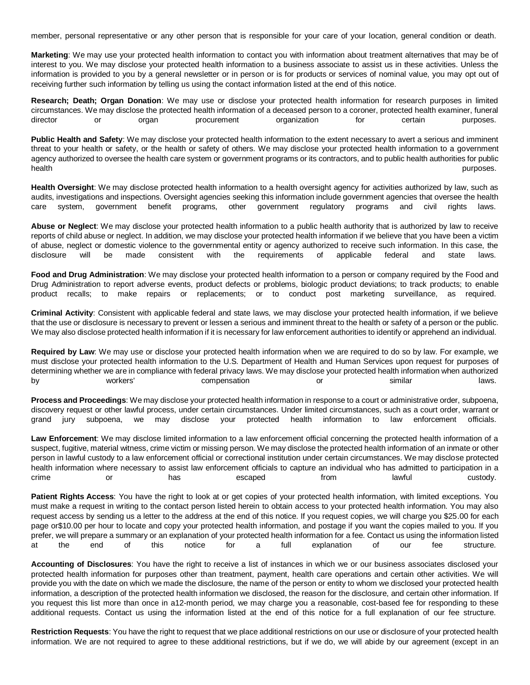member, personal representative or any other person that is responsible for your care of your location, general condition or death.

**Marketing**: We may use your protected health information to contact you with information about treatment alternatives that may be of interest to you. We may disclose your protected health information to a business associate to assist us in these activities. Unless the information is provided to you by a general newsletter or in person or is for products or services of nominal value, you may opt out of receiving further such information by telling us using the contact information listed at the end of this notice.

**Research; Death; Organ Donation**: We may use or disclose your protected health information for research purposes in limited circumstances. We may disclose the protected health information of a deceased person to a coroner, protected health examiner, funeral director or organ procurement organization for certain purposes.

**Public Health and Safety**: We may disclose your protected health information to the extent necessary to avert a serious and imminent threat to your health or safety, or the health or safety of others. We may disclose your protected health information to a government agency authorized to oversee the health care system or government programs or its contractors, and to public health authorities for public health purposes.

**Health Oversight**: We may disclose protected health information to a health oversight agency for activities authorized by law, such as audits, investigations and inspections. Oversight agencies seeking this information include government agencies that oversee the health care system, government benefit programs, other government regulatory programs and civil rights laws.

**Abuse or Neglect**: We may disclose your protected health information to a public health authority that is authorized by law to receive reports of child abuse or neglect. In addition, we may disclose your protected health information if we believe that you have been a victim of abuse, neglect or domestic violence to the governmental entity or agency authorized to receive such information. In this case, the disclosure will be made consistent with the requirements of applicable federal and state laws.

**Food and Drug Administration**: We may disclose your protected health information to a person or company required by the Food and Drug Administration to report adverse events, product defects or problems, biologic product deviations; to track products; to enable product recalls; to make repairs or replacements; or to conduct post marketing surveillance, as required.

**Criminal Activity**: Consistent with applicable federal and state laws, we may disclose your protected health information, if we believe that the use or disclosure is necessary to prevent or lessen a serious and imminent threat to the health or safety of a person or the public. We may also disclose protected health information if it is necessary for law enforcement authorities to identify or apprehend an individual.

**Required by Law**: We may use or disclose your protected health information when we are required to do so by law. For example, we must disclose your protected health information to the U.S. Department of Health and Human Services upon request for purposes of determining whether we are in compliance with federal privacy laws. We may disclose your protected health information when authorized by workers' compensation or similar laws.

**Process and Proceedings**: We may disclose your protected health information in response to a court or administrative order, subpoena, discovery request or other lawful process, under certain circumstances. Under limited circumstances, such as a court order, warrant or grand jury subpoena, we may disclose your protected health information to law enforcement officials.

**Law Enforcement**: We may disclose limited information to a law enforcement official concerning the protected health information of a suspect, fugitive, material witness, crime victim or missing person. We may disclose the protected health information of an inmate or other person in lawful custody to a law enforcement official or correctional institution under certain circumstances. We may disclose protected health information where necessary to assist law enforcement officials to capture an individual who has admitted to participation in a crime or has escaped from lawful custody.

**Patient Rights Access**: You have the right to look at or get copies of your protected health information, with limited exceptions. You must make a request in writing to the contact person listed herein to obtain access to your protected health information. You may also request access by sending us a letter to the address at the end of this notice. If you request copies, we will charge you \$25.00 for each page or\$10.00 per hour to locate and copy your protected health information, and postage if you want the copies mailed to you. If you prefer, we will prepare a summary or an explanation of your protected health information for a fee. Contact us using the information listed at the end of this notice for a full explanation of our fee structure.

**Accounting of Disclosures**: You have the right to receive a list of instances in which we or our business associates disclosed your protected health information for purposes other than treatment, payment, health care operations and certain other activities. We will provide you with the date on which we made the disclosure, the name of the person or entity to whom we disclosed your protected health information, a description of the protected health information we disclosed, the reason for the disclosure, and certain other information. If you request this list more than once in a12-month period, we may charge you a reasonable, cost-based fee for responding to these additional requests. Contact us using the information listed at the end of this notice for a full explanation of our fee structure.

**Restriction Requests**: You have the right to request that we place additional restrictions on our use or disclosure of your protected health information. We are not required to agree to these additional restrictions, but if we do, we will abide by our agreement (except in an